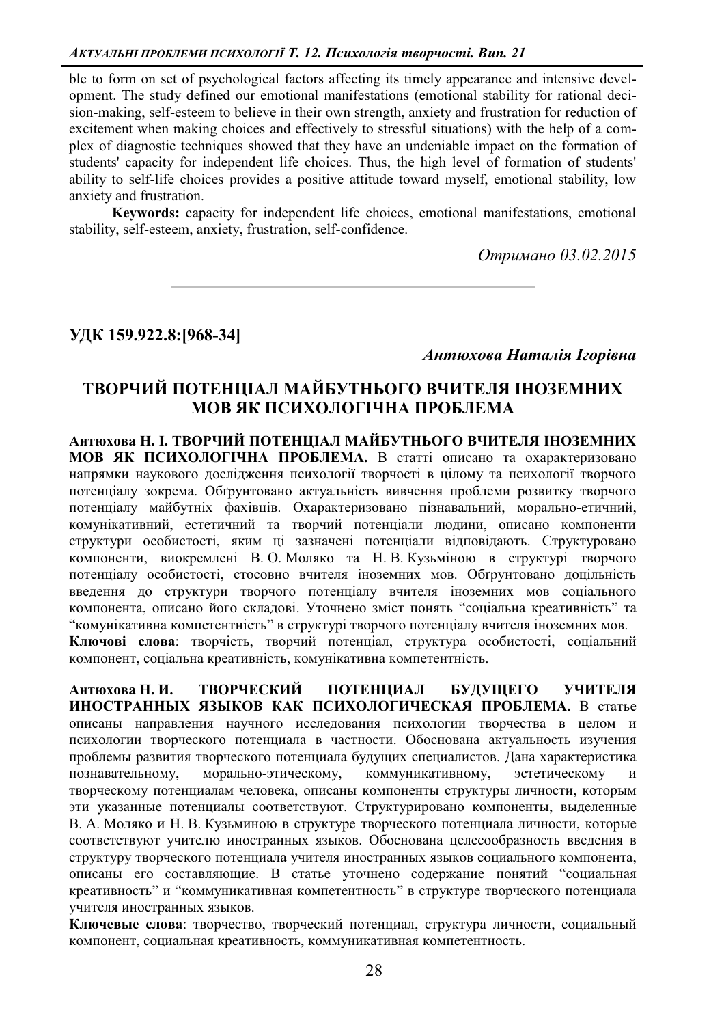ble to form on set of psychological factors affecting its timely appearance and intensive development. The study defined our emotional manifestations (emotional stability for rational decision-making, self-esteem to believe in their own strength, anxiety and frustration for reduction of excitement when making choices and effectively to stressful situations) with the help of a complex of diagnostic techniques showed that they have an undeniable impact on the formation of students' capacity for independent life choices. Thus, the high level of formation of students' ability to self-life choices provides a positive attitude toward myself, emotional stability, low anxiety and frustration.

**Keywords:** capacity for independent life choices, emotional manifestations, emotional stability, self-esteem, anxiety, frustration, self-confidence.

*Ɉɬɪɢɦɚɧɨ 03.02.2015* 

**ɍȾɄ>-@**

*Ⱥɧɬɸɯɨɜɚɇɚɬɚɥɿɹȱɝɨɪɿɜɧɚ*

## ТВОРЧИЙ ПОТЕНЦІАЛ МАЙБУТНЬОГО ВЧИТЕЛЯ ІНОЗЕМНИХ **МОВ ЯК ПСИХОЛОГІЧНА ПРОБЛЕМА**

**АНТЮХОВА Н. І. ТВОРЧИЙ ПОТЕНШАЛ МАЙБУТНЬОГО ВЧИТЕЛЯ ІНОЗЕМНИХ МОВ ЯК ПСИХОЛОГІЧНА ПРОБЛЕМА.** В статті описано та охарактеризовано напрямки наукового дослідження психології творчості в цілому та психології творчого потенціалу зокрема. Обґрунтовано актуальність вивчення проблеми розвитку творчого потенціалу майбутніх фахівців. Охарактеризовано пізнавальний, морально-етичний, комунікативний, естетичний та творчий потенціали людини, описано компоненти структури особистості, яким ці зазначені потенціали відповідають. Структуровано компоненти, виокремлені В. О. Моляко та Н. В. Кузьміною в структурі творчого потенціалу особистості, стосовно вчителя іноземних мов. Обґрунтовано доцільність введення до структури творчого потенціалу вчителя іноземних мов соціального компонента, описано його складові. Уточнено зміст понять "соціальна креативність" та "комунікативна компетентність" в структурі творчого потенціалу вчителя іноземних мов. Ключові слова: творчість, творчий потенціал, структура особистості, соціальний компонент, соціальна креативність, комунікативна компетентність.

**Антюхова Н. И. ТВОРЧЕСКИЙ ПОТЕНЦИАЛ БУЛУШЕГО УЧИТЕЛЯ** ИНОСТРАННЫХ ЯЗЫКОВ КАК ПСИХОЛОГИЧЕСКАЯ ПРОБЛЕМА. В статье описаны направления научного исследования психологии творчества в целом и психологии творческого потенциала в частности. Обоснована актуальность изучения проблемы развития творческого потенциала будущих специалистов. Дана характеристика познавательному, морально-этическому, коммуникативному, эстетическому и творческому потенциалам человека, описаны компоненты структуры личности, которым эти указанные потенциалы соответствуют. Структурировано компоненты, выделенные В. А. Моляко и Н. В. Кузьминою в структуре творческого потенциала личности, которые соответствуют учителю иностранных языков. Обоснована целесообразность введения в структуру творческого потенциала учителя иностранных языков социального компонента, • описаны его составляющие. В статье уточнено содержание понятий "социальная креативность" и "коммуникативная компетентность" в структуре творческого потенциала учителя иностранных языков.

Ключевые слова: творчество, творческий потенциал, структура личности, социальный компонент, социальная креативность, коммуникативная компетентность.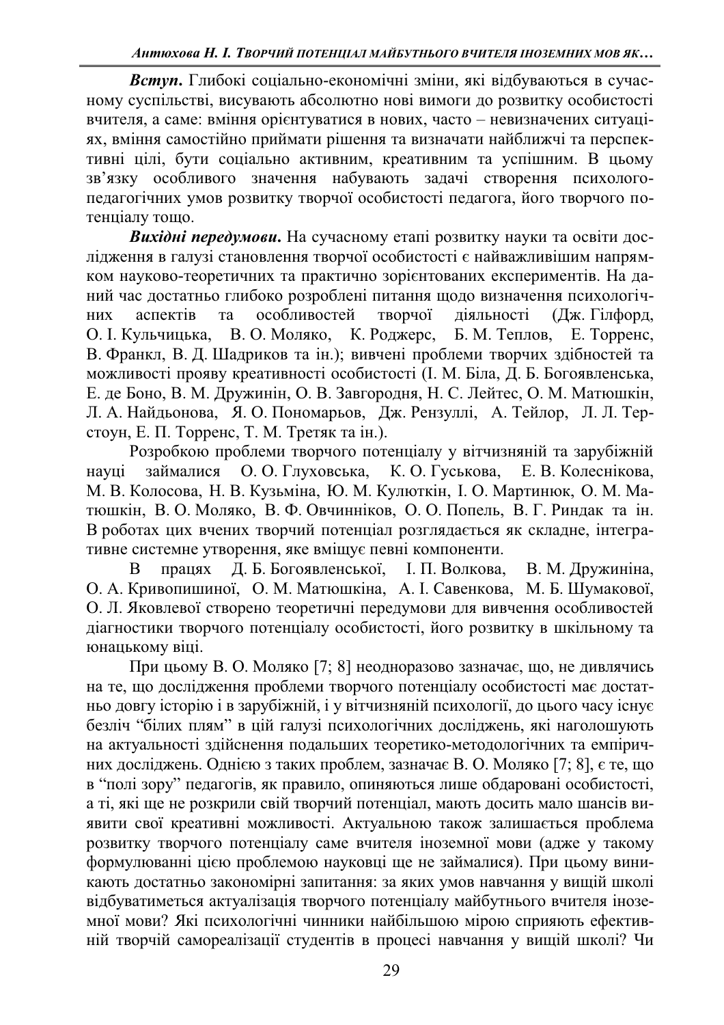Вступ. Глибокі соціально-економічні зміни, які відбуваються в сучасному суспільстві, висувають абсолютно нові вимоги до розвитку особистості вчителя, а саме: вміння орієнтуватися в нових, часто - невизначених ситуаціях, вміння самостійно приймати рішення та визначати найближчі та перспективні цілі, бути соціально активним, креативним та успішним. В цьому зв'язку особливого значення набувають задачі створення психологопедагогічних умов розвитку творчої особистості педагога, його творчого потенціалу тощо.

**Вихідні передумови.** На сучасному етапі розвитку науки та освіти дослідження в галузі становлення творчої особистості є найважливішим напрямком науково-теоретичних та практично зорієнтованих експериментів. На даний час достатньо глибоко розроблені питання щодо визначення психологічних аспектів та особливостей творчої діяльності (Дж. Гілфорд, О. І. Кульчицька, В. О. Моляко, К. Роджерс, Б. М. Теплов, Е. Торренс, О. І. Кульчицька, В. О. Моляко, К. Роджерс, Б. М. Теплов, Е. Торренс, В. Франкл, В. Д. Шадриков та ін.); вивчені проблеми творчих здібностей та можливості прояву креативності особистості (І. М. Біла, Д. Б. Богоявленська, Е. де Боно, В. М. Дружинін, О. В. Завгородня, Н. С. Лейтес, О. М. Матюшкін, Л. А. Найдьонова, Я. О. Пономарьов, Дж. Рензуллі, А. Тейлор, Л. Л. Терстоун, Е. П. Торренс, Т. М. Третяк та ін.).

Розробкою проблеми творчого потенціалу у вітчизняній та зарубіжній науці займалися О. О. Глуховська, К. О. Гуськова, Е. В. Колеснікова, М. В. Колосова, Н. В. Кузьміна, Ю. М. Кулюткін, І. О. Мартинюк, О. М. Матюшкін, В. О. Моляко, В. Ф. Овчинніков, О. О. Попель, В. Г. Риндак та ін. В роботах цих вчених творчий потенціал розглядається як складне, інтегративне системне утворення, яке вміщує певні компоненти.

В працях Д. Б. Богоявленської, І. П. Волкова, В. М. Дружиніна, О. А. Кривопишиної, О. М. Матюшкіна, А. І. Савенкова, М. Б. Шумакової, О. Л. Яковлевої створено теоретичні передумови для вивчення особливостей діагностики творчого потенціалу особистості, його розвитку в шкільному та юнацькому віці.

При цьому В. О. Моляко [7; 8] неодноразово зазначає, що, не дивлячись на те, що дослідження проблеми творчого потенціалу особистості має достатньо довгу історію і в зарубіжній, і у вітчизняній психології, до цього часу існує безліч "білих плям" в цій галузі психологічних досліджень, які наголошують на актуальності здійснення подальших теоретико-методологічних та емпіричних досліджень. Однією з таких проблем, зазначає В. О. Моляко [7; 8], є те, що в "полі зору" педагогів, як правило, опиняються лише обдаровані особистості, а ті, які ще не розкрили свій творчий потенціал, мають досить мало шансів виявити свої креативні можливості. Актуальною також залишається проблема розвитку творчого потенціалу саме вчителя іноземної мови (адже у такому формулюванні цією проблемою науковці ще не займалися). При цьому виникають достатньо закономірні запитання: за яких умов навчання у вищій школі відбуватиметься актуалізація творчого потенціалу майбутнього вчителя іноземної мови? Які психологічні чинники найбільшою мірою сприяють ефективній творчій самореалізації студентів в процесі навчання у вищій школі? Чи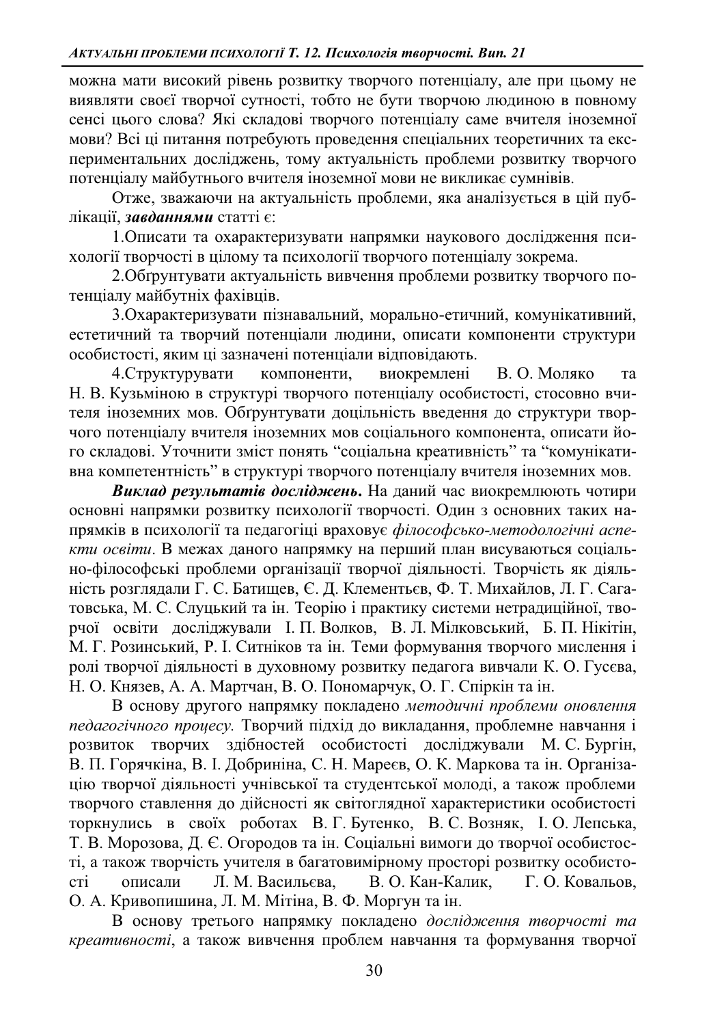можна мати високий рівень розвитку творчого потенціалу, але при цьому не виявляти своєї творчої сутності, тобто не бути творчою людиною в повному сенсі цього слова? Які складові творчого потенціалу саме вчителя іноземної мови? Всі ці питання потребують проведення спеціальних теоретичних та експериментальних досліджень, тому актуальність проблеми розвитку творчого потенціалу майбутнього вчителя іноземної мови не викликає сумнівів.

Отже, зважаючи на актуальність проблеми, яка аналізується в цій публікації, завданнями статті є:

1. Описати та охарактеризувати напрямки наукового дослідження психології творчості в цілому та психології творчого потенціалу зокрема.

2.Обгрунтувати актуальність вивчення проблеми розвитку творчого потенціалу майбутніх фахівців.

3. Охарактеризувати пізнавальний, морально-етичний, комунікативний, естетичний та творчий потенціали людини, описати компоненти структури особистості, яким ці зазначені потенціали відповідають.

4. Структурувати компоненти, виокремлені В. О. Моляко та Н. В. Кузьміною в структурі творчого потенціалу особистості, стосовно вчителя іноземних мов. Обтрунтувати доцільність введення до структури творчого потенціалу вчителя іноземних мов соціального компонента, описати його складові. Уточнити зміст понять "соціальна креативність" та "комунікативна компетентність" в структурі творчого потенціалу вчителя іноземних мов.

**Виклад результатів досліджень. На даний час виокремлюють чотири** основні напрямки розвитку психології творчості. Один з основних таких напрямків в психології та педагогіці враховує філософсько-методологічні аспе*кти освіти*. В межах даного напрямку на перший план висуваються соціально-філософські проблеми організації творчої діяльності. Творчість як діяльність розглядали Г. С. Батищев, Є. Д. Клементьєв, Ф. Т. Михайлов, Л. Г. Сагатовська, М. С. Слуцький та ін. Теорію і практику системи нетрадиційної, творчої освіти досліджували І. П. Волков, В. Л. Мілковський, Б. П. Нікітін, М. Г. Розинський, Р. І. Ситніков та ін. Теми формування творчого мислення і ролі творчої діяльності в духовному розвитку педагога вивчали К. О. Гусєва, Н. О. Князев, А. А. Мартчан, В. О. Пономарчук, О. Г. Спіркін та ін.

В основу другого напрямку покладено методичні проблеми оновлення педагогічного процесу. Творчий підхід до викладання, проблемне навчання і розвиток творчих здібностей особистості досліджували М. С. Бургін, В. П. Горячкіна, В. І. Добриніна, С. Н. Мареєв, О. К. Маркова та ін. Організацію творчої діяльності учнівської та студентської молоді, а також проблеми творчого ставлення до дійсності як світоглядної характеристики особистості торкнулись в своїх роботах В. Г. Бутенко, В. С. Возняк, І. О. Лепська, Т. В. Морозова, Д. Є. Огородов та ін. Соціальні вимоги до творчої особистості, а також творчість учителя в багатовимірному просторі розвитку особистості описали Л. М. Васильєва, В. О. Кан-Калик, Г. О. Ковальов, О. А. Кривопишина, Л. М. Мітіна, В. Ф. Моргун та ін.

В основу третього напрямку покладено дослідження творчості та *креативності*, а також вивчення проблем навчання та формування творчої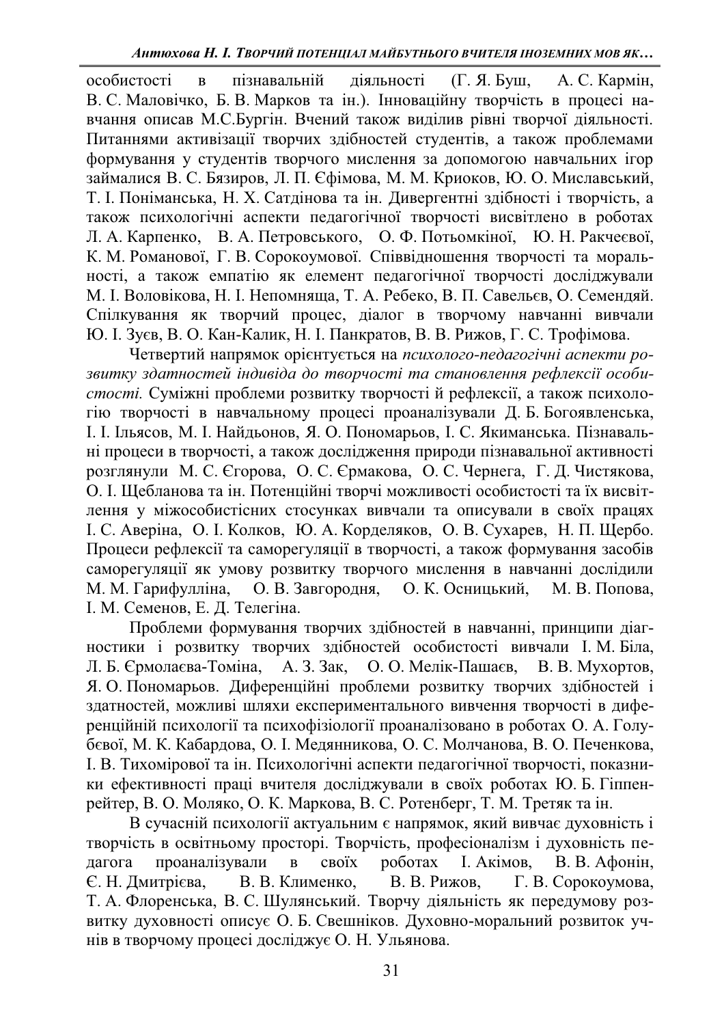особистості в пізнавальній діяльності (Г. Я. Буш, А. С. Кармін, В. С. Маловічко, Б. В. Марков та ін.). Інноваційну творчість в процесі навчання описав М.С.Бургін. Вчений також виділив рівні творчої діяльності. Питаннями активізації творчих здібностей студентів, а також проблемами формування у студентів творчого мислення за допомогою навчальних ігор займалися В. С. Бязиров, Л. П. Єфімова, М. М. Криоков, Ю. О. Миславський, Т. І. Поніманська, Н. Х. Сатдінова та ін. Дивергентні здібності і творчість, а також психологічні аспекти педагогічної творчості висвітлено в роботах Л. А. Карпенко, В. А. Петровського, О. Ф. Потьомкіної, Ю. Н. Ракчеєвої, К. М. Романової, Г. В. Сорокоумової. Співвідношення творчості та моральності, а також емпатію як елемент педагогічної творчості досліджували М. І. Воловікова, Н. І. Непомняща, Т. А. Ребеко, В. П. Савельєв, О. Семендяй. Спілкування як творчий процес, діалог в творчому навчанні вивчали Ю. І. Зуєв, В. О. Кан-Калик, Н. І. Панкратов, В. В. Рижов, Г. С. Трофімова.

Четвертий напрямок орієнтується на *психолого-педагогічні аспекти ро*звитку здатностей iндивiда до творчостi та становлення рефлексiї особи*стості*. Суміжні проблеми розвитку творчості й рефлексії, а також психологію творчості в навчальному процесі проаналізували Д. Б. Богоявленська, I. I. Ільясов, М. І. Найдьонов, Я. О. Пономарьов, І. С. Якиманська. Пізнавальні процеси в творчості, а також дослідження природи пізнавальної активності розглянули М. С. Єгорова, О. С. Єрмакова, О. С. Чернега, Г. Д. Чистякова, О. І. Щебланова та ін. Потенційні творчі можливості особистості та їх висвітлення у міжособистісних стосунках вивчали та описували в своїх працях I. С. Аверіна, О. І. Колков, Ю. А. Корделяков, О. В. Сухарев, Н. П. Щербо. Процеси рефлексії та саморегуляції в творчості, а також формування засобів аморегуляції як умову розвитку творчого мислення в навчанні дослідили М. М. Гарифулліна, О. В. Завгородня, О. К. Осницький, М. В. Попова, I. М. Семенов, Е. Д. Телегіна.

Проблеми формування творчих здібностей в навчанні, принципи діагностики і розвитку творчих здібностей особистості вивчали І. М. Біла, Л. Б. Єрмолаєва-Томіна, А. З. Зак, О. О. Мелік-Пашаєв, В. В. Мухортов, Л. Б. Єрмолаєва-Томіна, А. З. Зак, О. О. Мелік-Пашаєв, В. В. Мухортов, Я. О. Пономарьов. Диференційні проблеми розвитку творчих здібностей і здатностей, можливі шляхи експериментального вивчення творчості в диференційній психології та психофізіології проаналізовано в роботах О. А. Голубєвої, М. К. Кабардова, О. І. Медянникова, О. С. Молчанова, В. О. Печенкова, I. В. Тихомірової та ін. Психологічні аспекти педагогічної творчості, показники ефективності праці вчителя досліджували в своїх роботах Ю. Б. Гіппенрейтер, В. О. Моляко, О. К. Маркова, В. С. Ротенберг, Т. М. Третяк та ін.

В сучасній психології актуальним є напрямок, який вивчає духовність і творчість в освітньому просторі. Творчість, професіоналізм і духовність педагога проаналізували в своїх роботах І. Акімов, В. В. Афонін, Є. Н. Дмитрієва, В. В. Клименко, В. В. Рижов, Г. В. Сорокоумова, Т. А. Флоренська, В. С. Шулянський. Творчу діяльність як передумову розвитку духовності описує О. Б. Свешніков. Духовно-моральний розвиток учнів в творчому процесі досліджує О. Н. Ульянова.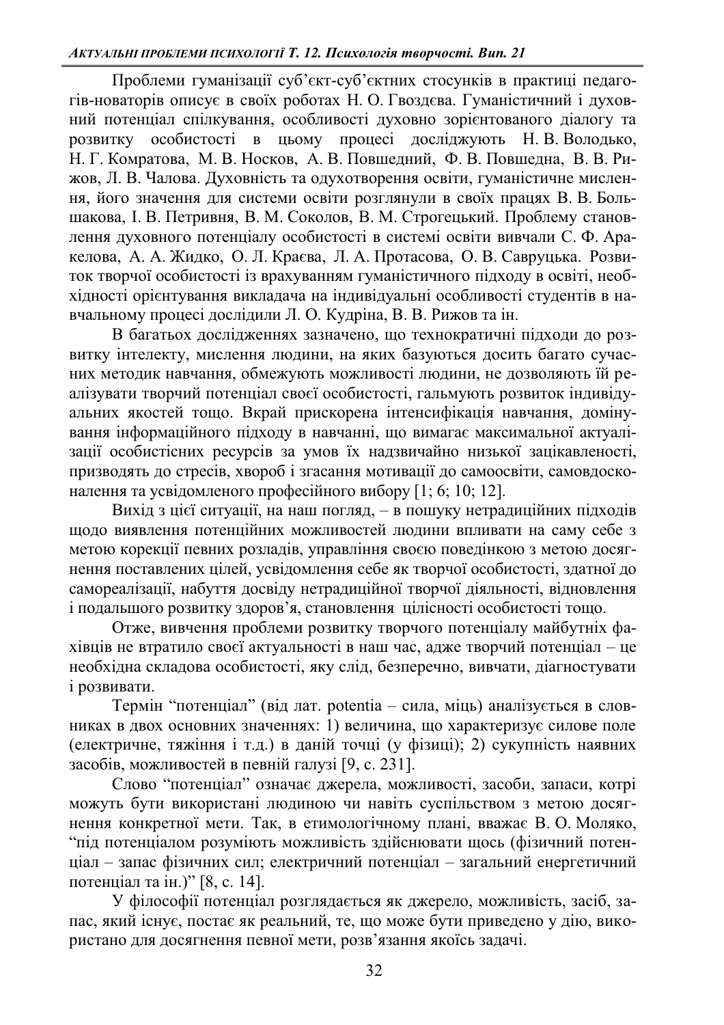Проблеми гуманізації суб'єкт-суб'єктних стосунків в практиці педагогів-новаторів описує в своїх роботах Н. О. Гвоздєва. Гуманістичний і духовний потенціал спілкування, особливості духовно зорієнтованого діалогу та розвитку особистості в цьому процесі досліджують Н. В. Володько, Н. Г. Комратова, М. В. Носков, А. В. Повшедний, Ф. В. Повшедна, В. В. Рижов, Л. В. Чалова. Духовність та одухотворення освіти, гуманістичне мислення, його значення для системи освіти розглянули в своїх працях В. В. Большакова, І. В. Петривня, В. М. Соколов, В. М. Строгецький. Проблему становлення духовного потенціалу особистості в системі освіти вивчали С. Ф. Аракелова, А. А. Жидко, О. Л. Краєва, Л. А. Протасова, О. В. Савруцька. Розвиток творчої особистості із врахуванням гуманістичного підходу в освіті, необхідності орієнтування викладача на індивідуальні особливості студентів в навчальному процесі дослідили Л. О. Кудріна, В. В. Рижов та ін.

В багатьох дослідженнях зазначено, що технократичні підходи до розвитку інтелекту, мислення людини, на яких базуються досить багато сучасних методик навчання, обмежують можливості людини, не дозволяють їй реалізувати творчий потенціал своєї особистості, гальмують розвиток індивідуальних якостей тощо. Вкрай прискорена інтенсифікація навчання, домінування інформаційного підходу в навчанні, що вимагає максимальної актуалізації особистісних ресурсів за умов їх надзвичайно низької зацікавленості, призводять до стресів, хвороб і згасання мотивації до самоосвіти, самовдосконалення та усвідомленого професійного вибору [1; 6; 10; 12].

Вихід з цієї ситуації, на наш погляд, - в пошуку нетрадиційних підходів щодо виявлення потенційних можливостей людини впливати на саму себе з метою корекції певних розладів, управління своєю поведінкою з метою досягнення поставлених цілей, усвідомлення себе як творчої особистості, здатної до самореалізації, набуття досвіду нетрадиційної творчої діяльності, відновлення і подальшого розвитку здоров'я, становлення цілісності особистості тощо.

Отже, вивчення проблеми розвитку творчого потенціалу майбутніх фахівців не втратило своєї актуальності в наш час, адже творчий потенціал – це необхідна складова особистості, яку слід, безперечно, вивчати, діагностувати *i* розвивати.

Термін "потенціал" (від лат. potentia – сила, міць) аналізується в словниках в двох основних значеннях: 1) величина, що характеризує силове поле (електричне, тяжіння і т.д.) в даній точці (у фізиці); 2) сукупність наявних засобів, можливостей в певній галузі [9, с. 231].

Слово "потенціал" означає джерела, можливості, засоби, запаси, котрі можуть бути використані людиною чи навіть суспільством з метою досягнення конкретної мети. Так, в етимологічному плані, вважає В. О. Моляко, "під потенціалом розуміють можливість здійснювати щось (фізичний потенціал – запас фізичних сил; електричний потенціал – загальний енергетичний потенціал та ін.)" [8, с. 14].

У філософії потенціал розглядається як джерело, можливість, засіб, запас, який існує, постає як реальний, те, що може бути приведено у дію, використано для досягнення певної мети, розв'язання якоїсь задачі.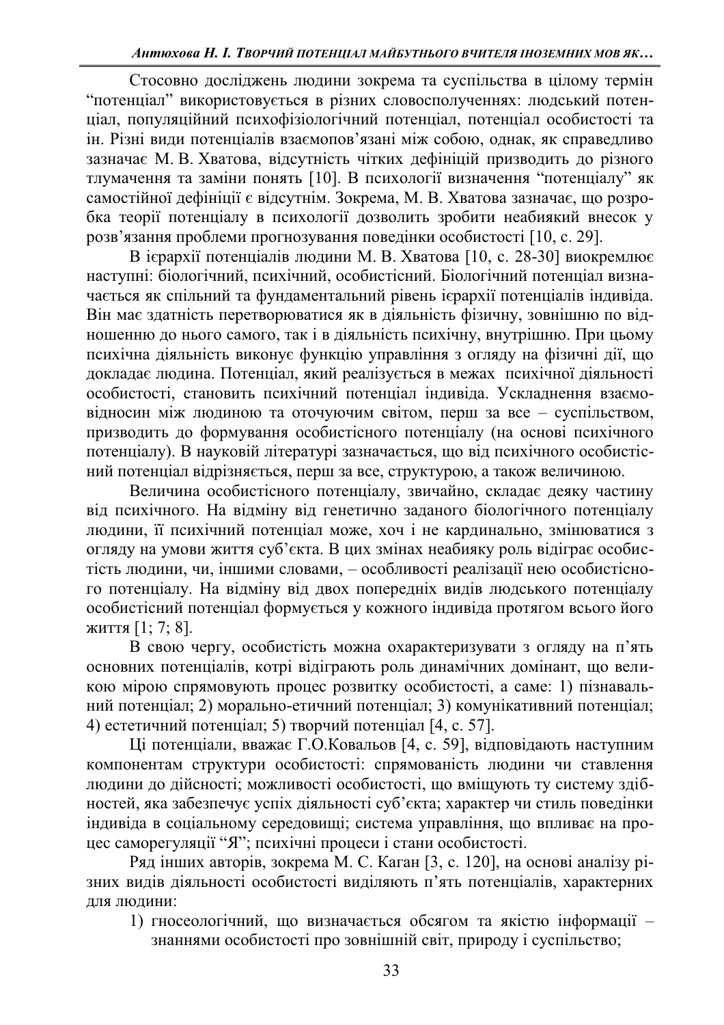Стосовно досліджень людини зокрема та суспільства в цілому термін "потенціал" використовується в різних словосполученнях: людський потенціал, популяційний психофізіологічний потенціал, потенціал особистості та ін. Різні види потенціалів взаємопов'язані між собою, однак, як справедливо зазначає М. В. Хватова, відсутність чітких дефініцій призводить до різного тлумачення та заміни понять [10]. В психології визначення "потенціалу" як самостійної дефініції є відсутнім. Зокрема, М. В. Хватова зазначає, що розробка теорії потенціалу в психології дозволить зробити неабиякий внесок у розв'язання проблеми прогнозування поведінки особистості [10, с. 29].

В ієрархії потенціалів людини М. В. Хватова [10, с. 28-30] виокремлює наступні: біологічний, психічний, особистісний. Біологічний потенціал визначається як спільний та фундаментальний рівень ієрархії потенціалів індивіда. Він має здатність перетворюватися як в діяльність фізичну, зовнішню по відношенню до нього самого, так і в діяльність психічну, внутрішню. При цьому психічна діяльність виконує функцію управління з огляду на фізичні дії, що докладає людина. Потенціал, який реалізується в межах психічної діяльності особистості, становить психічний потенціал індивіда. Ускладнення взаємовідносин між людиною та оточуючим світом, перш за все - суспільством, призводить до формування особистісного потенціалу (на основі психічного тотенціалу). В науковій літературі зазначається, що від психічного особистісний потенціал відрізняється, перш за все, структурою, а також величиною.

Величина особистісного потенціалу, звичайно, складає деяку частину від психічного. На відміну від генетично заданого біологічного потенціалу людини, її психічний потенціал може, хоч і не кардинально, змінюватися з огляду на умови життя суб'єкта. В цих змінах неабияку роль відіграє особистість людини, чи, іншими словами, – особливості реалізації нею особистісного потенціалу. На відміну від двох попередніх видів людського потенціалу особистісний потенціал формується у кожного індивіда протягом всього його життя [1; 7; 8].

В свою чергу, особистість можна охарактеризувати з огляду на п'ять основних потенціалів, котрі відіграють роль динамічних домінант, що великою мірою спрямовують процес розвитку особистості, а саме: 1) пізнавальний потенціал; 2) морально-етичний потенціал; 3) комунікативний потенціал; 4) естетичний потенціал; 5) творчий потенціал [4, с. 57].

Ці потенціали, вважає Г.О.Ковальов [4, с. 59], відповідають наступним компонентам структури особистості: спрямованість людини чи ставлення людини до дійсності; можливості особистості, що вміщують ту систему здібностей, яка забезпечує успіх діяльності суб'єкта; характер чи стиль поведінки індивіда в соціальному середовищі; система управління, що впливає на процес саморегуляції "Я"; психічні процеси і стани особистості.

Pяд інших авторів, зокрема М. С. Каган [3, с. 120], на основі аналізу різних видів діяльності особистості виділяють п'ять потенціалів, характерних для людини:

1) гносеологічний, що визначається обсягом та якістю інформації знаннями особистості про зовнішній світ, природу і суспільство;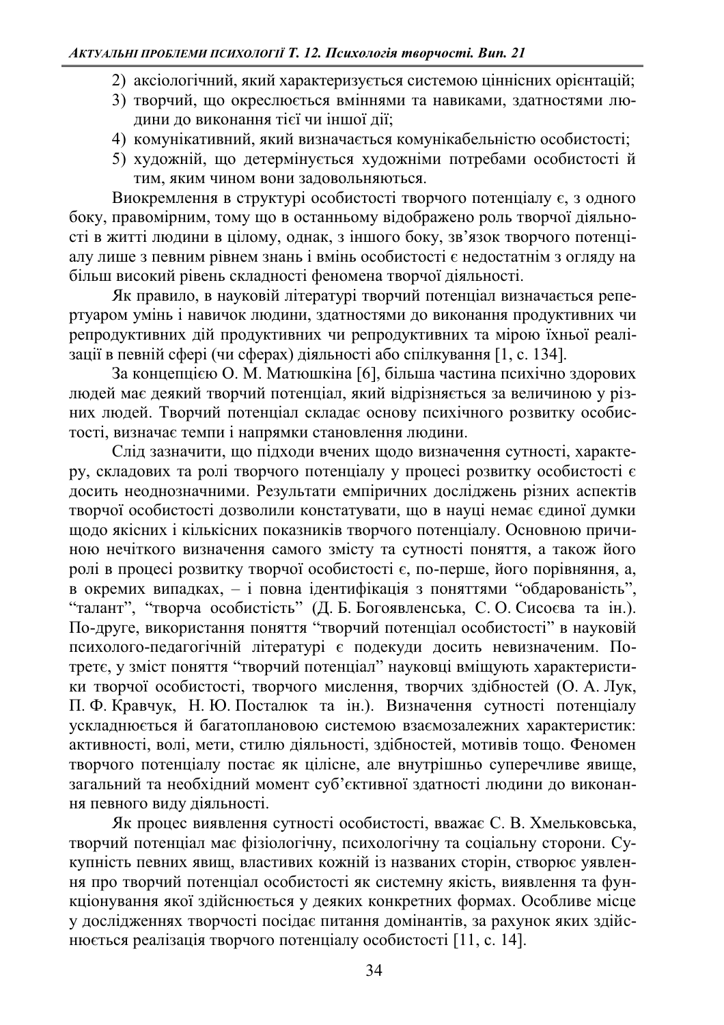- 2) аксіологічний, який характеризується системою ціннісних орієнтацій;
- 3) творчий, що окреслюється вміннями та навиками, здатностями людини до виконання тієї чи іншої дії;
- 4) комунікативний, який визначається комунікабельністю особистості;
- 5) художній, що детермінується художніми потребами особистості й тим, яким чином вони задовольняються.

Виокремлення в структурі особистості творчого потенціалу  $\epsilon$ , з одного боку, правомірним, тому що в останньому відображено роль творчої діяльності в житті людини в цілому, однак, з іншого боку, зв'язок творчого потенціалу лише з певним рівнем знань і вмінь особистості є недостатнім з огляду на більш високий рівень складності феномена творчої діяльності.

Як правило, в науковій літературі творчий потенціал визначається репертуаром умінь і навичок людини, здатностями до виконання продуктивних чи гепродуктивних дій продуктивних чи репродуктивних та мірою їхньої реалізації в певній сфері (чи сферах) діяльності або спілкування [1, с. 134].

За концепцією О. М. Матюшкіна [6], більша частина психічно здорових людей має деякий творчий потенціал, який відрізняється за величиною у різних людей. Творчий потенціал складає основу психічного розвитку особистості, визначає темпи і напрямки становлення людини.

Слід зазначити, що підходи вчених щодо визначення сутності, характеру, складових та ролі творчого потенціалу у процесі розвитку особистості  $\epsilon$ носить неоднозначними. Результати емпіричних досліджень різних аспектів творчої особистості дозволили констатувати, що в науці немає єдиної думки щодо якісних і кількісних показників творчого потенціалу. Основною причиною нечіткого визначення самого змісту та сутності поняття, а також його ролі в процесі розвитку творчої особистості  $\epsilon$ , по-перше, його порівняння, а, в окремих випадках, - і повна ідентифікація з поняттями "обдарованість", "талант", "творча особистість" (Д. Б. Богоявленська, С. О. Сисоєва та ін.). По-друге, використання поняття "творчий потенціал особистості" в науковій психолого-педагогічній літературі є подекуди досить невизначеним. Потретє, у зміст поняття "творчий потенціал" науковці вміщують характеристики творчої особистості, творчого мислення, творчих здібностей (О. А. Лук, П. Ф. Кравчук, Н. Ю. Посталюк та ін.). Визначення сутності потенціалу ускладнюється й багатоплановою системою взаємозалежних характеристик: активності, волі, мети, стилю діяльності, здібностей, мотивів тощо. Феномен творчого потенціалу постає як цілісне, але внутрішньо суперечливе явище, загальний та необхідний момент суб'єктивної здатності людини до виконання певного виду діяльності.

Як процес виявлення сутності особистості, вважає С. В. Хмельковська, творчий потенціал має фізіологічну, психологічну та соціальну сторони. Сукупність певних явищ, властивих кожній із названих сторін, створює уявлення про творчий потенціал особистості як системну якість, виявлення та функціонування якої здійснюється у деяких конкретних формах. Особливе місце у дослідженнях творчості посідає питання домінантів, за рахунок яких здійснюється реалізація творчого потенціалу особистості [11, с. 14].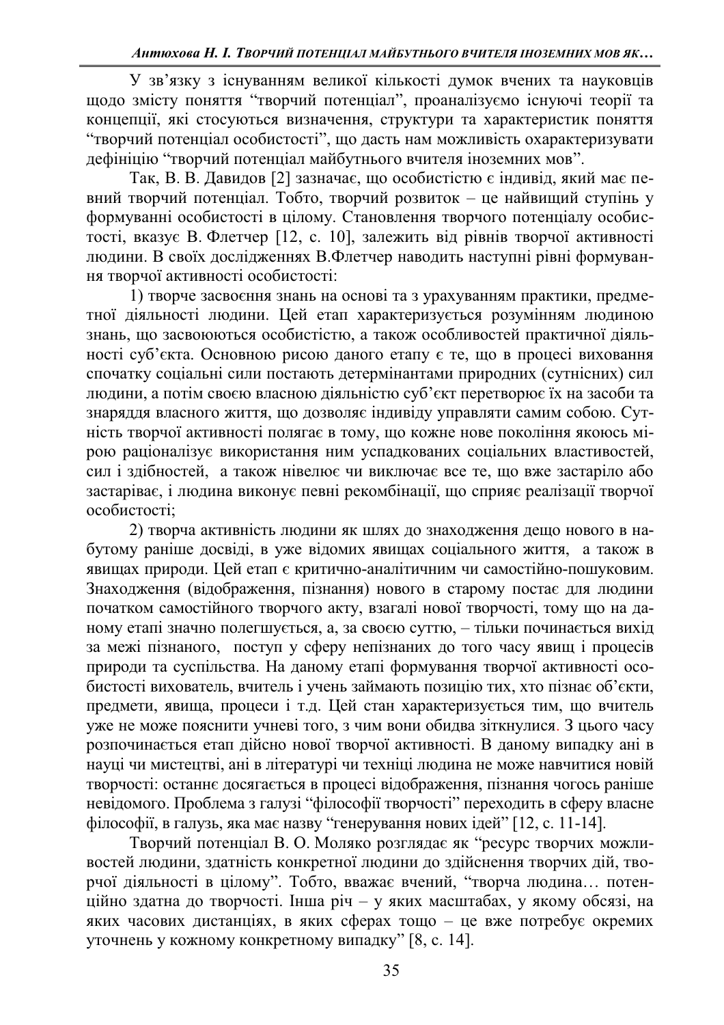У зв'язку з існуванням великої кількості думок вчених та науковців щодо змісту поняття "творчий потенціал", проаналізуємо існуючі теорії та концепції, які стосуються визначення, структури та характеристик поняття "творчий потенціал особистості", що дасть нам можливість охарактеризувати дефініцію "творчий потенціал майбутнього вчителя іноземних мов".

Так, В. В. Давидов [2] зазначає, що особистістю є індивід, який має певний творчий потенціал. Тобто, творчий розвиток - це найвищий ступінь у формуванні особистості в цілому. Становлення творчого потенціалу особис- $\overline{1}$ тості, вказує В. Флетчер [12, с. 10], залежить від рівнів творчої активності людини. В своїх дослідженнях В.Флетчер наводить наступні рівні формування творчої активності особистості:

1) творче засвоєння знань на основі та з урахуванням практики, предметної діяльності людини. Цей етап характеризується розумінням людиною знань, що засвоюються особистістю, а також особливостей практичної діяльності суб'єкта. Основною рисою даного етапу є те, що в процесі виховання спочатку соціальні сили постають детермінантами природних (сутнісних) сил людини, а потім своєю власною діяльністю суб'єкт перетворює їх на засоби та знаряддя власного життя, що дозволяє індивіду управляти самим собою. Сутність творчої активності полягає в тому, що кожне нове покоління якоюсь мірою раціоналізує використання ним успадкованих соціальних властивостей, сил і здібностей, а також нівелює чи виключає все те, що вже застаріло або застаріває, і людина виконує певні рекомбінації, що сприяє реалізації творчої особистості;

2) творча активність людини як шлях до знаходження дещо нового в набутому раніше досвіді, в уже відомих явищах соціального життя, а також в явищах природи. Цей етап є критично-аналітичним чи самостійно-пошуковим. Знаходження (відображення, пізнання) нового в старому постає для людини початком самостійного творчого акту, взагалі нової творчості, тому що на даному етапі значно полегшується, а, за своєю суттю, - тільки починається вихід за межі пізнаного, поступ у сферу непізнаних до того часу явищ і процесів природи та суспільства. На даному етапі формування творчої активності особистості вихователь, вчитель і учень займають позицію тих, хто пізнає об'єкти, предмети, явища, процеси і т.д. Цей стан характеризується тим, що вчитель уже не може пояснити учневі того, з чим вони обидва зіткнулися. З цього часу розпочинається етап дійсно нової творчої активності. В даному випадку ані в науці чи мистецтві, ані в літературі чи техніці людина не може навчитися новій творчості: останнє досягається в процесі відображення, пізнання чогось раніше невідомого. Проблема з галузі "філософії творчості" переходить в сферу власне філософії, в галузь, яка має назву "генерування нових ідей" [12, с. 11-14].

Творчий потенціал В. О. Моляко розглядає як "ресурс творчих можливостей людини, здатність конкретної людини до здійснення творчих дій, творчої діяльності в цілому". Тобто, вважає вчений, "творча людина... потенційно здатна до творчості. Інша річ - у яких масштабах, у якому обсязі, на яких часових дистанціях, в яких сферах тощо - це вже потребує окремих уточнень у кожному конкретному випадку" [8, с. 14].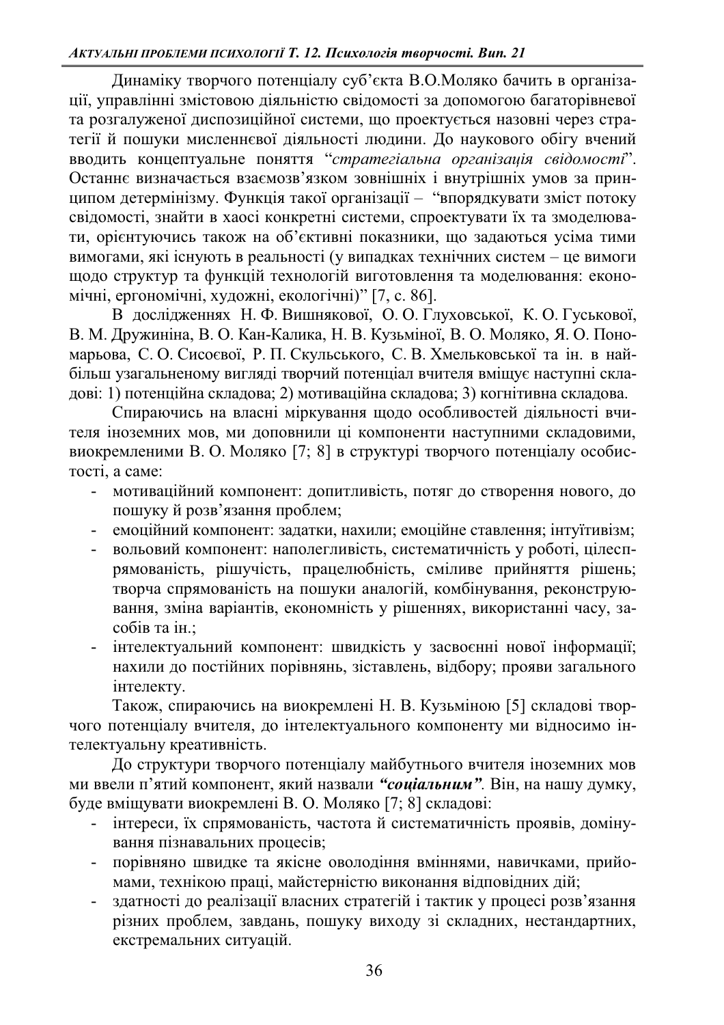Динаміку творчого потенціалу суб'єкта В.О. Моляко бачить в організації, управлінні змістовою діяльністю свідомості за допомогою багаторівневої та розгалуженої диспозиційної системи, що проектується назовні через стратегії й пошуки мисленнєвої діяльності людини. До наукового обігу вчений вводить концептуальне поняття "*стратегіальна організація свідомості*". Останнє визначається взаємозв'язком зовнішніх і внутрішніх умов за принципом детермінізму. Функція такої організації - "впорядкувати зміст потоку свідомості, знайти в хаосі конкретні системи, спроектувати їх та змоделювати, орієнтуючись також на об'єктивні показники, що задаються усіма тими вимогами, які існують в реальності (у випадках технічних систем - це вимоги щодо структур та функцій технологій виготовлення та моделювання: економічні, ергономічні, художні, екологічні)" [7, с. 86].

В дослідженнях Н. Ф. Вишнякової, О. О. Глуховської, К. О. Гуськової, В. М. Дружиніна, В. О. Кан-Калика, Н. В. Кузьміної, В. О. Моляко, Я. О. Пономарьова, С. О. Сисоєвої, Р. П. Скульського, С. В. Хмельковської та ін. в найбільш узагальненому вигляді творчий потенціал вчителя вміщує наступні складові: 1) потенційна складова; 2) мотиваційна складова; 3) когнітивна складова.

Спираючись на власні міркування щодо особливостей діяльності вчителя іноземних мов, ми доповнили ці компоненти наступними складовими, виокремленими В. О. Моляко [7; 8] в структурі творчого потенціалу особис-TOCTI, a came:

- мотиваційний компонент: допитливість, потяг до створення нового, до пошуку й розв'язання проблем;
- емоційний компонент: задатки, нахили; емоційне ставлення; інтуїтивізм;
- вольовий компонент: наполегливість, систематичність у роботі, цілеспрямованість, рішучість, працелюбність, сміливе прийняття рішень; -<br>творча спрямованість на пошуки аналогій, комбінування, реконструювання, зміна варіантів, економність у рішеннях, використанні часу, засобів та ін.;
- інтелектуальний компонент: швидкість у засвоєнні нової інформації; нахили до постійних порівнянь, зіставлень, відбору; прояви загального інтелекту.

Також, спираючись на виокремлені Н. В. Кузьміною [5] складові творчого потенціалу вчителя, до інтелектуального компоненту ми відносимо інтелектуальну креативність.

ую структури творчого потенціалу майбутнього вчителя іноземних мов ми ввели п'ятий компонент, який назвали "*социальним*". Він, на нашу думку, буде вміщувати виокремлені В. О. Моляко [7; 8] складові:

- інтереси, їх спрямованість, частота й систематичність проявів, домінування пізнавальних процесів;
- порівняно швидке та якісне оволодіння вміннями, навичками, прийомами, технікою праці, майстерністю виконання відповідних дій;
- здатності до реалізації власних стратегій і тактик у процесі розв'язання різних проблем, завдань, пошуку виходу зі складних, нестандартних, екстремальних ситуацій.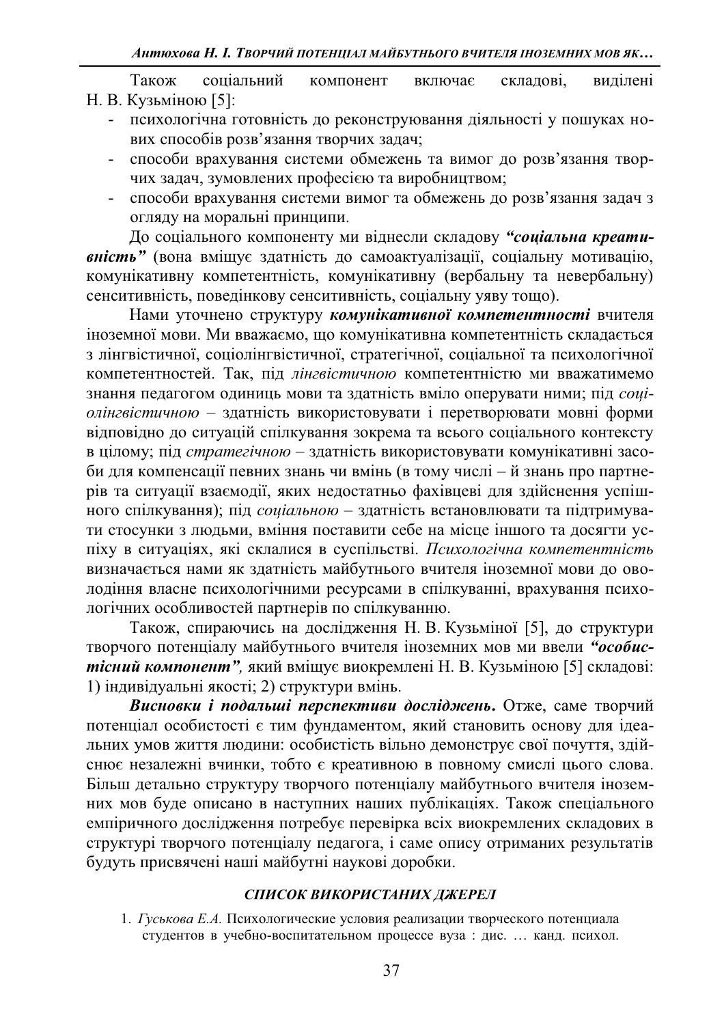Також соціальний компонент включає складові, виділені Н. В. Кузьміною [5]:

- психологічна готовність до реконструювання діяльності у пошуках нових способів розв'язання творчих задач;
- способи врахування системи обмежень та вимог до розв'язання творчих задач, зумовлених професією та виробництвом;
- способи врахування системи вимог та обмежень до розв'язання задач з огляду на моральні принципи.

До соціального компоненту ми віднесли складову "*соціальна креати***вність** " (вона вміщує здатність до самоактуалізації, соціальну мотивацію, комунікативну компетентність, комунікативну (вербальну та невербальну) сенситивність, поведінкову сенситивність, соціальну уяву тощо).

Нами уточнено структуру комунікативної компетентності вчителя іноземної мови. Ми вважаємо, що комунікативна компетентність складається з лінгвістичної, соціолінгвістичної, стратегічної, соціальної та психологічної компетентностей. Так, під лінгвістичною компетентністю ми вважатимемо знання педагогом одиниць мови та здатність вміло оперувати ними; під *соціолінгвістичною* - здатність використовувати і перетворювати мовні форми відповідно до ситуацій спілкування зокрема та всього соціального контексту **в цілому**; під стратегічною - здатність використовувати комунікативні засоби для компенсації певних знань чи вмінь (в тому числі – й знань про партнерів та ситуації взаємодії, яких недостатньо фахівцеві для здійснення успішного спілкування); під соціальною - здатність встановлювати та підтримувати стосунки з людьми, вміння поставити себе на місце іншого та досягти успіху в ситуаціях, які склалися в суспільстві. Психологічна компетентність визначається нами як здатність майбутнього вчителя іноземної мови до оволодіння власне психологічними ресурсами в спілкуванні, врахування психологічних особливостей партнерів по спілкуванню.

Також, спираючись на дослідження Н. В. Кузьміної [5], до структури творчого потенціалу майбутнього вчителя іноземних мов ми ввели "особис*тісний компонент*", який вміщує виокремлені Н. В. Кузьміною [5] складові: 1) індивідуальні якості; 2) структури вмінь.

Висновки *і подальші перспективи досліджень*. Отже, саме творчий потенціал особистості є тим фундаментом, який становить основу для ідеальних умов життя людини: особистість вільно демонструє свої почуття, здійснює незалежні вчинки, тобто є креативною в повному смислі цього слова. Більш детально структуру творчого потенціалу майбутнього вчителя іноземних мов буде описано в наступних наших публікаціях. Також спеціального емпіричного дослідження потребує перевірка всіх виокремлених складових в структурі творчого потенціалу педагога, і саме опису отриманих результатів будуть присвячені наші майбутні наукові доробки.

## СПИСОК ВИКОРИСТАНИХ ДЖЕРЕЛ

1. Гуськова Е.А. Психологические условия реализации творческого потенциала студентов в учебно-воспитательном процессе вуза: дис. ... канд. психол.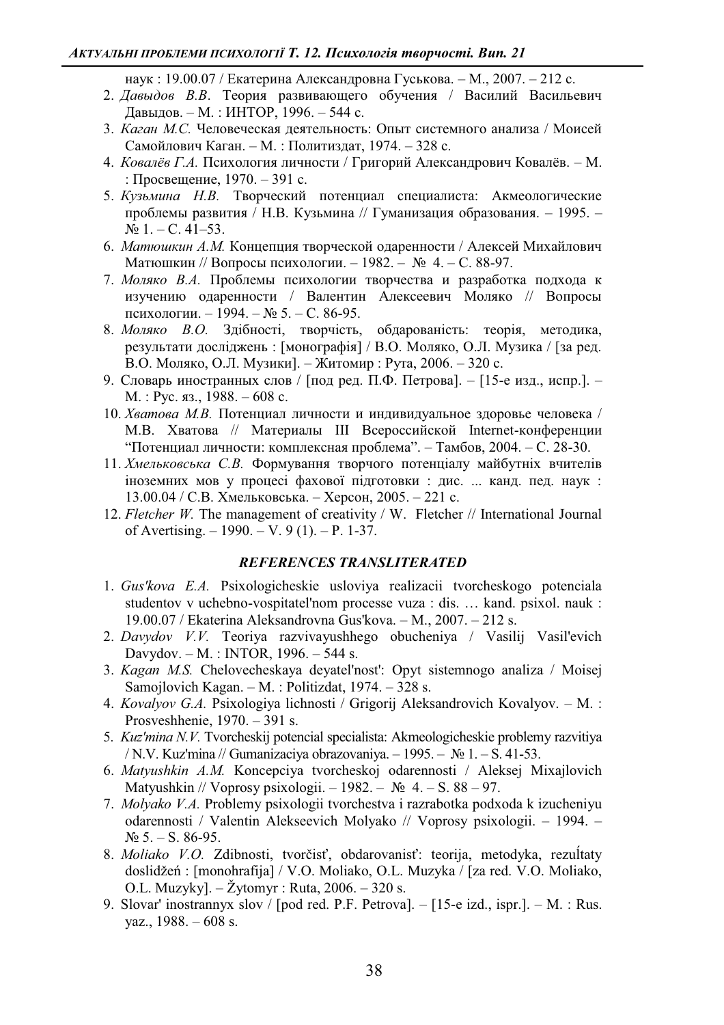наук: 19.00.07 / Екатерина Александровна Гуськова. – М., 2007. – 212 с.

- 2. Давыдов В.В. Теория развивающего обучения / Василий Васильевич Давыдов. - М.: ИНТОР, 1996. - 544 с.
- 3. *Каган М.С.* Человеческая деятельность: Опыт системного анализа / Моисей Самойлович Каган. - М.: Политиздат, 1974. - 328 с.
- 4. *Ковалёв Г.А*. Психология личности / Григорий Александрович Ковалёв. М. : Просвещение, 1970. – 391 с.
- 5. *Кузьмина Н.В.* Творческий потенциал специалиста: Акмеологические проблемы развития / Н.В. Кузьмина // Гуманизация образования. - 1995. - $N_2$  1. – C. 41–53.
- 6. *Матюшкин А.М.* Концепция творческой одаренности / Алексей Михайлович Матюшкин // Вопросы психологии. - 1982. − № 4. - С. 88-97.
- 7. Моляко В.А. Проблемы психологии творчества и разработка подхода к изучению одаренности / Валентин Алексеевич Моляко // Вопросы психологии. − 1994. –  $N$ <sup>o</sup> 5. – С. 86-95.
- 8. Моляко В.О. Здібності, творчість, обдарованість: теорія, методика, результати досліджень: [монографія] / В.О. Моляко, О.Л. Музика / [за ред. В.О. Моляко, О.Л. Музики]. – Житомир : Рута, 2006. – 320 с.
- 9. Словарь иностранных слов / [под ред. П.Ф. Петрова]. [15-е изд., испр.]. - $M.$ : Pyc. яз., 1988. – 608 с.
- 10. *Хватова М.В.* Потенциал личности и индивидуальное здоровье человека / М.В. Хватова // Материалы III Всероссийской Internet-конференции "Потенциал личности: комплексная проблема". - Тамбов, 2004. - С. 28-30.
- 11. *Хмельковська С.В.* Формування творчого потенціалу майбутніх вчителів іноземних мов у процесі фахової підготовки: дис. ... канд. пед. наук: 13.00.04 / С.В. Хмельковська. – Херсон, 2005. – 221 с.
- 12. *Fletcher W.* The management of creativity / W. Fletcher // International Journal of Avertising.  $-1990. - V. 9 (1)$ .  $- P. 1-37$ .

## $REFERENCES TRANSLITERATED$

- 1. *Gus'kova E.A.* Psixologicheskie usloviya realizacii tvorcheskogo potenciala studentov v uchebno-vospitatel'nom processe vuza : dis. ... kand. psixol. nauk :  $19.00.07$  / Ekaterina Aleksandrovna Gus'kova.  $-$  M., 2007.  $-$  212 s.
- 2. *Davydov V.V.* Teoriya razvivayushhego obucheniya / Vasilij Vasil'evich Davydov.  $- M.$ : INTOR, 1996.  $- 544$  s.
- 3. *Kagan M.S.* Chelovecheskaya deyatel'nost': Opyt sistemnogo analiza / Moisej Samojlovich Kagan.  $-M.$ : Politizdat, 1974.  $-328$  s.
- 4. *Kovalyov G.A.* Psixologiya lichnosti / Grigorij Aleksandrovich Kovalyov. M. : Prosveshhenie,  $1970 - 391$  s.
- 5. *Kuz'mina N.V.* Tvorcheskij potencial specialista: Akmeologicheskie problemy razvitiya / N.V. Kuz'mina // Gumanizaciya obrazovaniya.  $-1995. - N_2 1. - S. 41-53.$
- 6. *Matyushkin A.M.* Koncepciya tvorcheskoj odarennosti / Aleksej Mixajlovich Matyushkin // Voprosy psixologii.  $-1982. - N_2$  4.  $- S. 88 - 97.$
- 7. *Molyako V.A.* Problemy psixologii tvorchestva i razrabotka podxoda k izucheniyu odarennosti / Valentin Alekseevich Molyako // Voprosy psixologii. - 1994. - $N_2$  5. – S. 86-95.
- 8. Moliako V.O. Zdibnosti, tvorčisť, obdarovanisť: teorija, metodyka, rezultaty doslidžeń: [monohrafija] / V.O. Moliako, O.L. Muzyka / [za red. V.O. Moliako, O.L. Muzyky].  $-\check{Z}$ ytomyr : Ruta, 2006.  $-320$  s.
- 9. Slovar' inostrannyx slov / [pod red. P.F. Petrova].  $-$  [15-e izd., ispr.].  $-$  M. : Rus. yaz.,  $1988. - 608$  s.